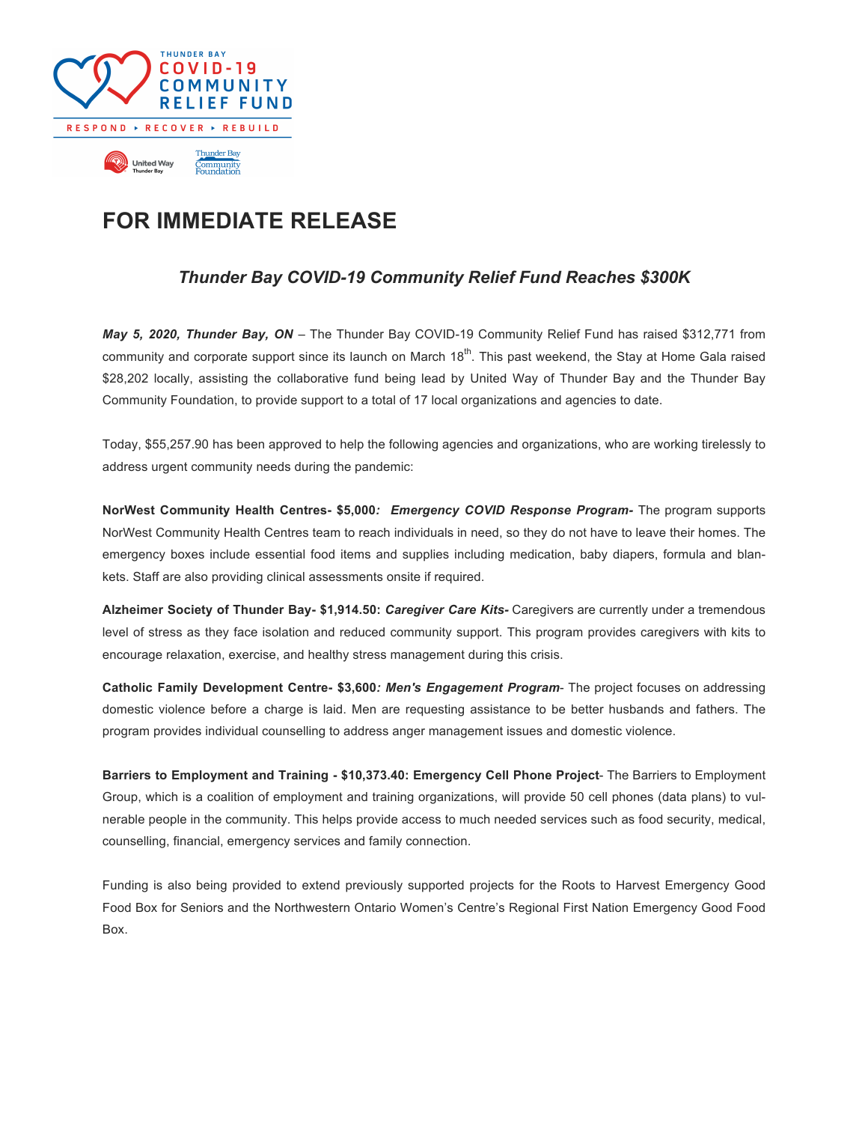

## **FOR IMMEDIATE RELEASE**

## *Thunder Bay COVID-19 Community Relief Fund Reaches \$300K*

*May 5, 2020, Thunder Bay, ON* – The Thunder Bay COVID-19 Community Relief Fund has raised \$312,771 from community and corporate support since its launch on March  $18<sup>th</sup>$ . This past weekend, the Stay at Home Gala raised \$28,202 locally, assisting the collaborative fund being lead by United Way of Thunder Bay and the Thunder Bay Community Foundation, to provide support to a total of 17 local organizations and agencies to date.

Today, \$55,257.90 has been approved to help the following agencies and organizations, who are working tirelessly to address urgent community needs during the pandemic:

**NorWest Community Health Centres- \$5,000***: Emergency COVID Response Program-* The program supports NorWest Community Health Centres team to reach individuals in need, so they do not have to leave their homes. The emergency boxes include essential food items and supplies including medication, baby diapers, formula and blankets. Staff are also providing clinical assessments onsite if required.

**Alzheimer Society of Thunder Bay- \$1,914.50:** *Caregiver Care Kits-* Caregivers are currently under a tremendous level of stress as they face isolation and reduced community support. This program provides caregivers with kits to encourage relaxation, exercise, and healthy stress management during this crisis.

**Catholic Family Development Centre- \$3,600***: Men's Engagement Program*- The project focuses on addressing domestic violence before a charge is laid. Men are requesting assistance to be better husbands and fathers. The program provides individual counselling to address anger management issues and domestic violence.

**Barriers to Employment and Training - \$10,373.40: Emergency Cell Phone Project**- The Barriers to Employment Group, which is a coalition of employment and training organizations, will provide 50 cell phones (data plans) to vulnerable people in the community. This helps provide access to much needed services such as food security, medical, counselling, financial, emergency services and family connection.

Funding is also being provided to extend previously supported projects for the Roots to Harvest Emergency Good Food Box for Seniors and the Northwestern Ontario Women's Centre's Regional First Nation Emergency Good Food Box.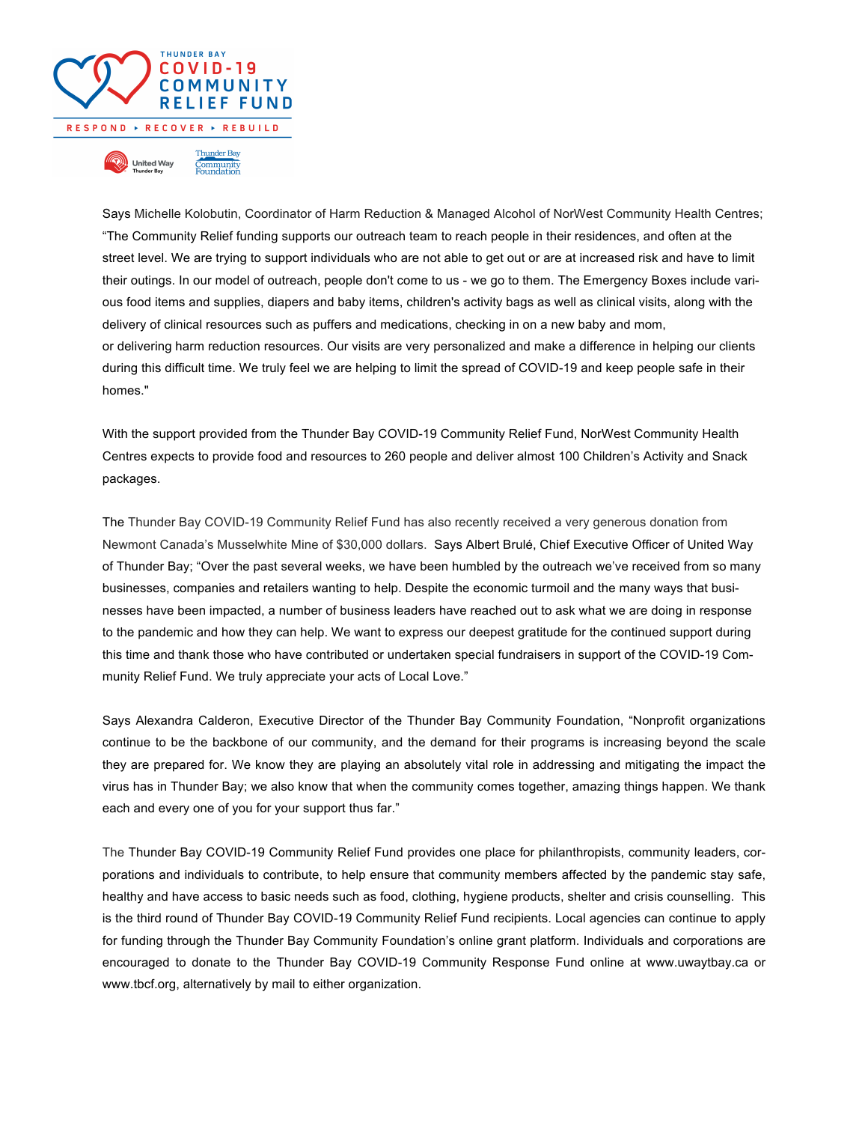

Says Michelle Kolobutin, Coordinator of Harm Reduction & Managed Alcohol of NorWest Community Health Centres; "The Community Relief funding supports our outreach team to reach people in their residences, and often at the street level. We are trying to support individuals who are not able to get out or are at increased risk and have to limit their outings. In our model of outreach, people don't come to us - we go to them. The Emergency Boxes include various food items and supplies, diapers and baby items, children's activity bags as well as clinical visits, along with the delivery of clinical resources such as puffers and medications, checking in on a new baby and mom, or delivering harm reduction resources. Our visits are very personalized and make a difference in helping our clients during this difficult time. We truly feel we are helping to limit the spread of COVID-19 and keep people safe in their homes."

With the support provided from the Thunder Bay COVID-19 Community Relief Fund, NorWest Community Health Centres expects to provide food and resources to 260 people and deliver almost 100 Children's Activity and Snack packages.

The Thunder Bay COVID-19 Community Relief Fund has also recently received a very generous donation from Newmont Canada's Musselwhite Mine of \$30,000 dollars. Says Albert Brulé, Chief Executive Officer of United Way of Thunder Bay; "Over the past several weeks, we have been humbled by the outreach we've received from so many businesses, companies and retailers wanting to help. Despite the economic turmoil and the many ways that businesses have been impacted, a number of business leaders have reached out to ask what we are doing in response to the pandemic and how they can help. We want to express our deepest gratitude for the continued support during this time and thank those who have contributed or undertaken special fundraisers in support of the COVID-19 Community Relief Fund. We truly appreciate your acts of Local Love."

Says Alexandra Calderon, Executive Director of the Thunder Bay Community Foundation, "Nonprofit organizations continue to be the backbone of our community, and the demand for their programs is increasing beyond the scale they are prepared for. We know they are playing an absolutely vital role in addressing and mitigating the impact the virus has in Thunder Bay; we also know that when the community comes together, amazing things happen. We thank each and every one of you for your support thus far."

The Thunder Bay COVID-19 Community Relief Fund provides one place for philanthropists, community leaders, corporations and individuals to contribute, to help ensure that community members affected by the pandemic stay safe, healthy and have access to basic needs such as food, clothing, hygiene products, shelter and crisis counselling. This is the third round of Thunder Bay COVID-19 Community Relief Fund recipients. Local agencies can continue to apply for funding through the Thunder Bay Community Foundation's online grant platform. Individuals and corporations are encouraged to donate to the Thunder Bay COVID-19 Community Response Fund online at www.uwaytbay.ca or www.tbcf.org, alternatively by mail to either organization.